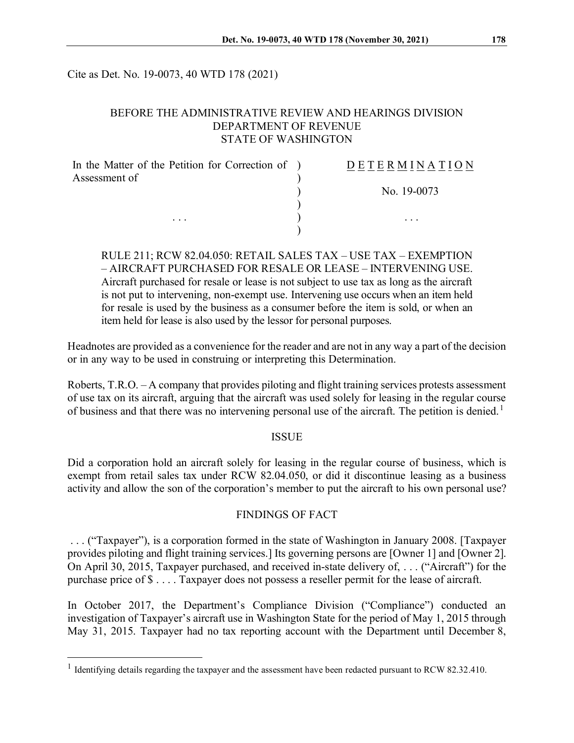Cite as Det. No. 19-0073, 40 WTD 178 (2021)

### BEFORE THE ADMINISTRATIVE REVIEW AND HEARINGS DIVISION DEPARTMENT OF REVENUE STATE OF WASHINGTON

| In the Matter of the Petition for Correction of ) | DETERMINATION |
|---------------------------------------------------|---------------|
| Assessment of                                     |               |
|                                                   | No. 19-0073   |
|                                                   |               |
| $\cdots$                                          | $\cdots$      |
|                                                   |               |

RULE 211; RCW 82.04.050: RETAIL SALES TAX – USE TAX – EXEMPTION – AIRCRAFT PURCHASED FOR RESALE OR LEASE – INTERVENING USE. Aircraft purchased for resale or lease is not subject to use tax as long as the aircraft is not put to intervening, non-exempt use. Intervening use occurs when an item held for resale is used by the business as a consumer before the item is sold, or when an item held for lease is also used by the lessor for personal purposes.

Headnotes are provided as a convenience for the reader and are not in any way a part of the decision or in any way to be used in construing or interpreting this Determination.

Roberts, T.R.O. – A company that provides piloting and flight training services protests assessment of use tax on its aircraft, arguing that the aircraft was used solely for leasing in the regular course of business and that there was no intervening personal use of the aircraft. The petition is denied.<sup>[1](#page-0-0)</sup>

#### ISSUE

Did a corporation hold an aircraft solely for leasing in the regular course of business, which is exempt from retail sales tax under RCW 82.04.050, or did it discontinue leasing as a business activity and allow the son of the corporation's member to put the aircraft to his own personal use?

#### FINDINGS OF FACT

. . . ("Taxpayer"), is a corporation formed in the state of Washington in January 2008. [Taxpayer provides piloting and flight training services.] Its governing persons are [Owner 1] and [Owner 2]. On April 30, 2015, Taxpayer purchased, and received in-state delivery of, . . . ("Aircraft") for the purchase price of \$ . . . . Taxpayer does not possess a reseller permit for the lease of aircraft.

In October 2017, the Department's Compliance Division ("Compliance") conducted an investigation of Taxpayer's aircraft use in Washington State for the period of May 1, 2015 through May 31, 2015. Taxpayer had no tax reporting account with the Department until December 8,

<span id="page-0-0"></span><sup>&</sup>lt;sup>1</sup> Identifying details regarding the taxpayer and the assessment have been redacted pursuant to RCW 82.32.410.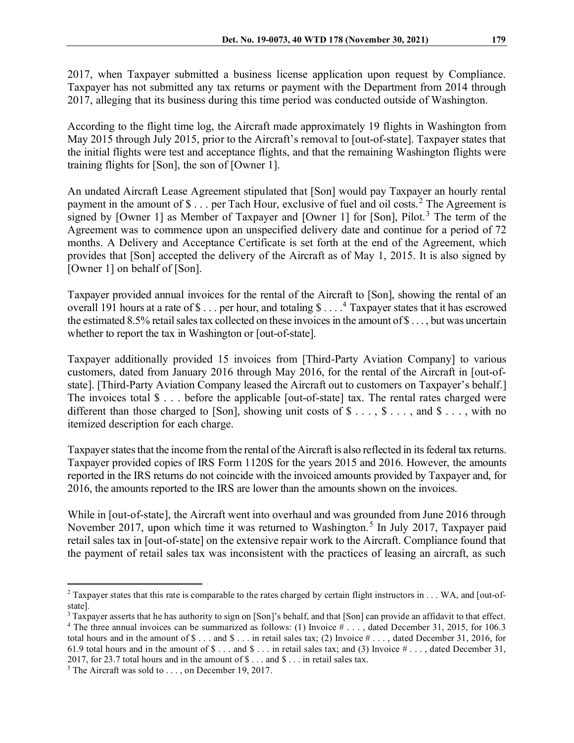2017, when Taxpayer submitted a business license application upon request by Compliance. Taxpayer has not submitted any tax returns or payment with the Department from 2014 through 2017, alleging that its business during this time period was conducted outside of Washington.

According to the flight time log, the Aircraft made approximately 19 flights in Washington from May 2015 through July 2015, prior to the Aircraft's removal to [out-of-state]. Taxpayer states that the initial flights were test and acceptance flights, and that the remaining Washington flights were training flights for [Son], the son of [Owner 1].

An undated Aircraft Lease Agreement stipulated that [Son] would pay Taxpayer an hourly rental payment in the amount of \$... per Tach Hour, exclusive of fuel and oil costs.<sup>[2](#page-1-0)</sup> The Agreement is signed by [Owner 1] as Member of Taxpayer and [Owner 1] for [Son], Pilot.<sup>[3](#page-1-1)</sup> The term of the Agreement was to commence upon an unspecified delivery date and continue for a period of 72 months. A Delivery and Acceptance Certificate is set forth at the end of the Agreement, which provides that [Son] accepted the delivery of the Aircraft as of May 1, 2015. It is also signed by [Owner 1] on behalf of [Son].

Taxpayer provided annual invoices for the rental of the Aircraft to [Son], showing the rental of an overall 191 hours at a rate of  $\$\dots$  per hour, and totaling  $\$\dots$ <sup>[4](#page-1-2)</sup> Taxpayer states that it has escrowed the estimated 8.5% retail sales tax collected on these invoices in the amount of  $\$\dots$ , but was uncertain whether to report the tax in Washington or [out-of-state].

Taxpayer additionally provided 15 invoices from [Third-Party Aviation Company] to various customers, dated from January 2016 through May 2016, for the rental of the Aircraft in [out-ofstate]. [Third-Party Aviation Company leased the Aircraft out to customers on Taxpayer's behalf.] The invoices total \$ . . . before the applicable [out-of-state] tax. The rental rates charged were different than those charged to [Son], showing unit costs of  $\$\ldots, \$\ldots$ , and  $\$\ldots$ , with no itemized description for each charge.

Taxpayer states that the income from the rental of the Aircraft is also reflected in its federal tax returns. Taxpayer provided copies of IRS Form 1120S for the years 2015 and 2016. However, the amounts reported in the IRS returns do not coincide with the invoiced amounts provided by Taxpayer and, for 2016, the amounts reported to the IRS are lower than the amounts shown on the invoices.

While in [out-of-state], the Aircraft went into overhaul and was grounded from June 2016 through November 2017, upon which time it was returned to Washington.<sup>[5](#page-1-3)</sup> In July 2017, Taxpayer paid retail sales tax in [out-of-state] on the extensive repair work to the Aircraft. Compliance found that the payment of retail sales tax was inconsistent with the practices of leasing an aircraft, as such

<span id="page-1-0"></span><sup>&</sup>lt;sup>2</sup> Taxpayer states that this rate is comparable to the rates charged by certain flight instructors in  $\dots$  WA, and [out-ofstate].

<span id="page-1-2"></span><span id="page-1-1"></span><sup>&</sup>lt;sup>3</sup> Taxpayer asserts that he has authority to sign on [Son]'s behalf, and that [Son] can provide an affidavit to that effect. <sup>4</sup> The three annual invoices can be summarized as follows: (1) Invoice  $\# \dots$ , dated December 31, 2015, for 106.3 total hours and in the amount of  $\$\dots$  and  $\$\dots$  in retail sales tax; (2) Invoice  $\#\dots$ , dated December 31, 2016, for 61.9 total hours and in the amount of  $\text{\$} \dots$  and  $\text{\$} \dots$  in retail sales tax; and (3) Invoice  $\text{\#} \dots$ , dated December 31, 2017, for 23.7 total hours and in the amount of \$ . . . and \$ . . . in retail sales tax.

<span id="page-1-3"></span><sup>&</sup>lt;sup>5</sup> The Aircraft was sold to  $\dots$ , on December 19, 2017.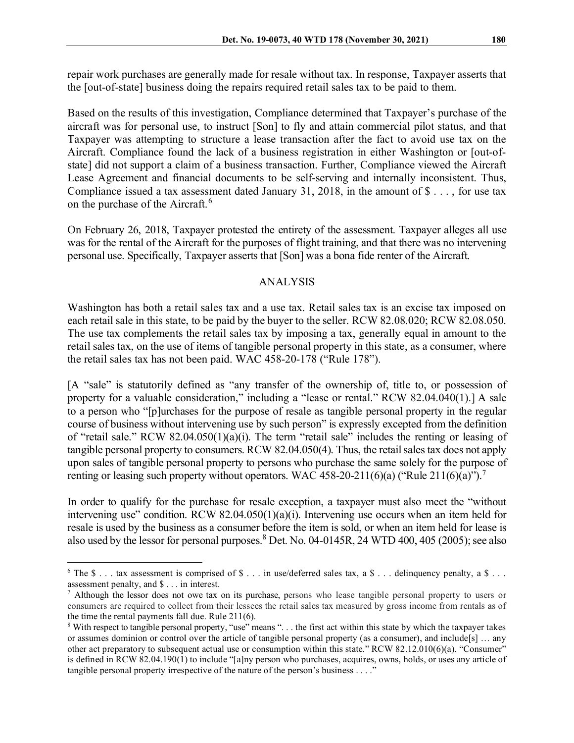repair work purchases are generally made for resale without tax. In response, Taxpayer asserts that the [out-of-state] business doing the repairs required retail sales tax to be paid to them.

Based on the results of this investigation, Compliance determined that Taxpayer's purchase of the aircraft was for personal use, to instruct [Son] to fly and attain commercial pilot status, and that Taxpayer was attempting to structure a lease transaction after the fact to avoid use tax on the Aircraft. Compliance found the lack of a business registration in either Washington or [out-ofstate] did not support a claim of a business transaction. Further, Compliance viewed the Aircraft Lease Agreement and financial documents to be self-serving and internally inconsistent. Thus, Compliance issued a tax assessment dated January 31, 2018, in the amount of  $\$\dots$ , for use tax on the purchase of the Aircraft.<sup>[6](#page-2-0)</sup>

On February 26, 2018, Taxpayer protested the entirety of the assessment. Taxpayer alleges all use was for the rental of the Aircraft for the purposes of flight training, and that there was no intervening personal use. Specifically, Taxpayer asserts that [Son] was a bona fide renter of the Aircraft.

## ANALYSIS

Washington has both a retail sales tax and a use tax. Retail sales tax is an excise tax imposed on each retail sale in this state, to be paid by the buyer to the seller. RCW 82.08.020; RCW 82.08.050. The use tax complements the retail sales tax by imposing a tax, generally equal in amount to the retail sales tax, on the use of items of tangible personal property in this state, as a consumer, where the retail sales tax has not been paid. WAC 458-20-178 ("Rule 178").

[A "sale" is statutorily defined as "any transfer of the ownership of, title to, or possession of property for a valuable consideration," including a "lease or rental." RCW 82.04.040(1).] A sale to a person who "[p]urchases for the purpose of resale as tangible personal property in the regular course of business without intervening use by such person" is expressly excepted from the definition of "retail sale." RCW 82.04.050(1)(a)(i). The term "retail sale" includes the renting or leasing of tangible personal property to consumers. RCW 82.04.050(4). Thus, the retail sales tax does not apply upon sales of tangible personal property to persons who purchase the same solely for the purpose of renting or leasing such property without operators. WAC 458-20-211(6)(a) ("Rule 211(6)(a)").<sup>[7](#page-2-1)</sup>

In order to qualify for the purchase for resale exception, a taxpayer must also meet the "without intervening use" condition. RCW  $82.04.050(1)(a)(i)$ . Intervening use occurs when an item held for resale is used by the business as a consumer before the item is sold, or when an item held for lease is also used by the lessor for personal purposes.<sup>[8](#page-2-2)</sup> Det. No. 04-0145R, 24 WTD 400, 405 (2005); see also

<span id="page-2-0"></span><sup>&</sup>lt;sup>6</sup> The \$ . . . tax assessment is comprised of \$ . . . in use/deferred sales tax, a \$ . . . delinquency penalty, a \$ . . . assessment penalty, and \$ . . . in interest.<br>
<sup>7</sup> Although the lessor does not owe tax on its purchase, persons who lease tangible personal property to users or

<span id="page-2-1"></span>consumers are required to collect from their lessees the retail sales tax measured by gross income from rentals as of the time the rental payments fall due. Rule 211(6).

<span id="page-2-2"></span><sup>8</sup> With respect to tangible personal property, "use" means ". . . the first act within this state by which the taxpayer takes or assumes dominion or control over the article of tangible personal property (as a consumer), and include[s] … any other act preparatory to subsequent actual use or consumption within this state." RCW 82.12.010(6)(a). "Consumer" is defined in RCW 82.04.190(1) to include "[a]ny person who purchases, acquires, owns, holds, or uses any article of tangible personal property irrespective of the nature of the person's business . . . ."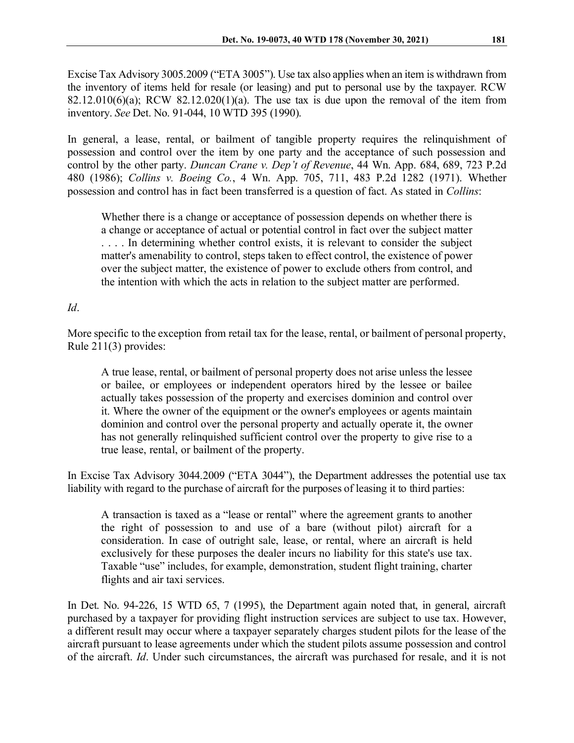Excise Tax Advisory 3005.2009 ("ETA 3005"). Use tax also applies when an item is withdrawn from the inventory of items held for resale (or leasing) and put to personal use by the taxpayer. RCW  $82.12.010(6)(a)$ ; RCW  $82.12.020(1)(a)$ . The use tax is due upon the removal of the item from inventory. *See* Det. No. 91-044, 10 WTD 395 (1990).

In general, a lease, rental, or bailment of tangible property requires the relinquishment of possession and control over the item by one party and the acceptance of such possession and control by the other party. *Duncan Crane v. Dep't of Revenue*, 44 Wn. App. 684, 689, 723 P.2d 480 (1986); *Collins v. Boeing Co.*, 4 Wn. App. 705, 711, 483 P.2d 1282 (1971). Whether possession and control has in fact been transferred is a question of fact. As stated in *Collins*:

Whether there is a change or acceptance of possession depends on whether there is a change or acceptance of actual or potential control in fact over the subject matter . . . . In determining whether control exists, it is relevant to consider the subject matter's amenability to control, steps taken to effect control, the existence of power over the subject matter, the existence of power to exclude others from control, and the intention with which the acts in relation to the subject matter are performed.

## *Id*.

More specific to the exception from retail tax for the lease, rental, or bailment of personal property, Rule 211(3) provides:

A true lease, rental, or bailment of personal property does not arise unless the lessee or bailee, or employees or independent operators hired by the lessee or bailee actually takes possession of the property and exercises dominion and control over it. Where the owner of the equipment or the owner's employees or agents maintain dominion and control over the personal property and actually operate it, the owner has not generally relinquished sufficient control over the property to give rise to a true lease, rental, or bailment of the property.

In Excise Tax Advisory 3044.2009 ("ETA 3044"), the Department addresses the potential use tax liability with regard to the purchase of aircraft for the purposes of leasing it to third parties:

A transaction is taxed as a "lease or rental" where the agreement grants to another the right of possession to and use of a bare (without pilot) aircraft for a consideration. In case of outright sale, lease, or rental, where an aircraft is held exclusively for these purposes the dealer incurs no liability for this state's use tax. Taxable "use" includes, for example, demonstration, student flight training, charter flights and air taxi services.

In Det. No. 94-226, 15 WTD 65, 7 (1995), the Department again noted that, in general, aircraft purchased by a taxpayer for providing flight instruction services are subject to use tax. However, a different result may occur where a taxpayer separately charges student pilots for the lease of the aircraft pursuant to lease agreements under which the student pilots assume possession and control of the aircraft. *Id*. Under such circumstances, the aircraft was purchased for resale, and it is not